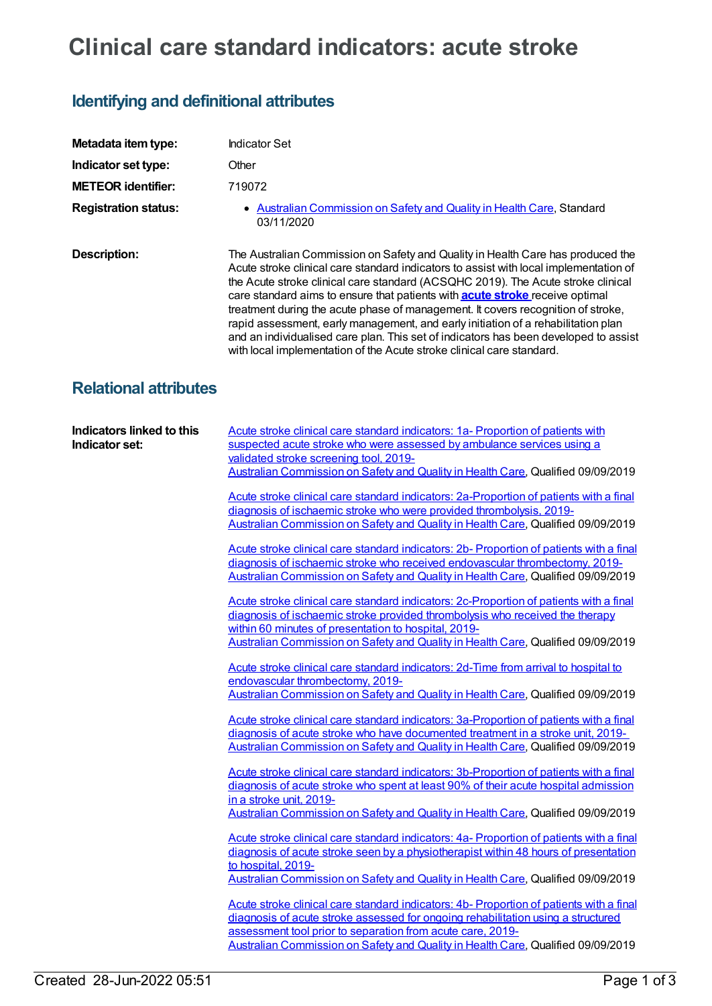## **Clinical care standard indicators: acute stroke**

## **Identifying and definitional attributes**

| <b>Indicator Set</b>                                                                                                                                                                                                                                                                                                                                                                                                                                                                                                                                                                                                                                                                                                                                                                                                                                                                                                                                                                                                                                                                                                                                                                                                                                                                                                                                                                                                                                                                                                                                                                                                                                                                                                                                                                                                                                                                                                                                                                                                                                                                                                                                                                                                                                                                                                                                                                                                                                     |
|----------------------------------------------------------------------------------------------------------------------------------------------------------------------------------------------------------------------------------------------------------------------------------------------------------------------------------------------------------------------------------------------------------------------------------------------------------------------------------------------------------------------------------------------------------------------------------------------------------------------------------------------------------------------------------------------------------------------------------------------------------------------------------------------------------------------------------------------------------------------------------------------------------------------------------------------------------------------------------------------------------------------------------------------------------------------------------------------------------------------------------------------------------------------------------------------------------------------------------------------------------------------------------------------------------------------------------------------------------------------------------------------------------------------------------------------------------------------------------------------------------------------------------------------------------------------------------------------------------------------------------------------------------------------------------------------------------------------------------------------------------------------------------------------------------------------------------------------------------------------------------------------------------------------------------------------------------------------------------------------------------------------------------------------------------------------------------------------------------------------------------------------------------------------------------------------------------------------------------------------------------------------------------------------------------------------------------------------------------------------------------------------------------------------------------------------------------|
| Other                                                                                                                                                                                                                                                                                                                                                                                                                                                                                                                                                                                                                                                                                                                                                                                                                                                                                                                                                                                                                                                                                                                                                                                                                                                                                                                                                                                                                                                                                                                                                                                                                                                                                                                                                                                                                                                                                                                                                                                                                                                                                                                                                                                                                                                                                                                                                                                                                                                    |
| 719072                                                                                                                                                                                                                                                                                                                                                                                                                                                                                                                                                                                                                                                                                                                                                                                                                                                                                                                                                                                                                                                                                                                                                                                                                                                                                                                                                                                                                                                                                                                                                                                                                                                                                                                                                                                                                                                                                                                                                                                                                                                                                                                                                                                                                                                                                                                                                                                                                                                   |
| • Australian Commission on Safety and Quality in Health Care, Standard<br>03/11/2020                                                                                                                                                                                                                                                                                                                                                                                                                                                                                                                                                                                                                                                                                                                                                                                                                                                                                                                                                                                                                                                                                                                                                                                                                                                                                                                                                                                                                                                                                                                                                                                                                                                                                                                                                                                                                                                                                                                                                                                                                                                                                                                                                                                                                                                                                                                                                                     |
| The Australian Commission on Safety and Quality in Health Care has produced the<br>Acute stroke clinical care standard indicators to assist with local implementation of<br>the Acute stroke clinical care standard (ACSQHC 2019). The Acute stroke clinical<br>care standard aims to ensure that patients with <b>acute stroke</b> receive optimal<br>treatment during the acute phase of management. It covers recognition of stroke,<br>rapid assessment, early management, and early initiation of a rehabilitation plan<br>and an individualised care plan. This set of indicators has been developed to assist<br>with local implementation of the Acute stroke clinical care standard.                                                                                                                                                                                                                                                                                                                                                                                                                                                                                                                                                                                                                                                                                                                                                                                                                                                                                                                                                                                                                                                                                                                                                                                                                                                                                                                                                                                                                                                                                                                                                                                                                                                                                                                                                            |
| <b>Relational attributes</b>                                                                                                                                                                                                                                                                                                                                                                                                                                                                                                                                                                                                                                                                                                                                                                                                                                                                                                                                                                                                                                                                                                                                                                                                                                                                                                                                                                                                                                                                                                                                                                                                                                                                                                                                                                                                                                                                                                                                                                                                                                                                                                                                                                                                                                                                                                                                                                                                                             |
| Acute stroke clinical care standard indicators: 1a- Proportion of patients with<br>suspected acute stroke who were assessed by ambulance services using a<br>validated stroke screening tool, 2019-<br>Australian Commission on Safety and Quality in Health Care, Qualified 09/09/2019<br>Acute stroke clinical care standard indicators: 2a-Proportion of patients with a final<br>diagnosis of ischaemic stroke who were provided thrombolysis, 2019-<br>Australian Commission on Safety and Quality in Health Care, Qualified 09/09/2019<br>Acute stroke clinical care standard indicators: 2b- Proportion of patients with a final<br>diagnosis of ischaemic stroke who received endovascular thrombectomy, 2019-<br>Australian Commission on Safety and Quality in Health Care, Qualified 09/09/2019<br>Acute stroke clinical care standard indicators: 2c-Proportion of patients with a final<br>diagnosis of ischaemic stroke provided thrombolysis who received the therapy<br>within 60 minutes of presentation to hospital, 2019-<br>Australian Commission on Safety and Quality in Health Care, Qualified 09/09/2019<br>Acute stroke clinical care standard indicators: 2d-Time from arrival to hospital to<br>endovascular thrombectomy, 2019-<br>Australian Commission on Safety and Quality in Health Care, Qualified 09/09/2019<br>Acute stroke clinical care standard indicators: 3a-Proportion of patients with a final<br>diagnosis of acute stroke who have documented treatment in a stroke unit, 2019-<br>Australian Commission on Safety and Quality in Health Care, Qualified 09/09/2019<br>Acute stroke clinical care standard indicators: 3b-Proportion of patients with a final<br>diagnosis of acute stroke who spent at least 90% of their acute hospital admission<br>in a stroke unit, 2019-<br>Australian Commission on Safety and Quality in Health Care, Qualified 09/09/2019<br>Acute stroke clinical care standard indicators: 4a- Proportion of patients with a final<br>diagnosis of acute stroke seen by a physiotherapist within 48 hours of presentation<br>to hospital, 2019-<br>Australian Commission on Safety and Quality in Health Care, Qualified 09/09/2019<br>Acute stroke clinical care standard indicators: 4b- Proportion of patients with a final<br>diagnosis of acute stroke assessed for ongoing rehabilitation using a structured<br>assessment tool prior to separation from acute care, 2019- |
|                                                                                                                                                                                                                                                                                                                                                                                                                                                                                                                                                                                                                                                                                                                                                                                                                                                                                                                                                                                                                                                                                                                                                                                                                                                                                                                                                                                                                                                                                                                                                                                                                                                                                                                                                                                                                                                                                                                                                                                                                                                                                                                                                                                                                                                                                                                                                                                                                                                          |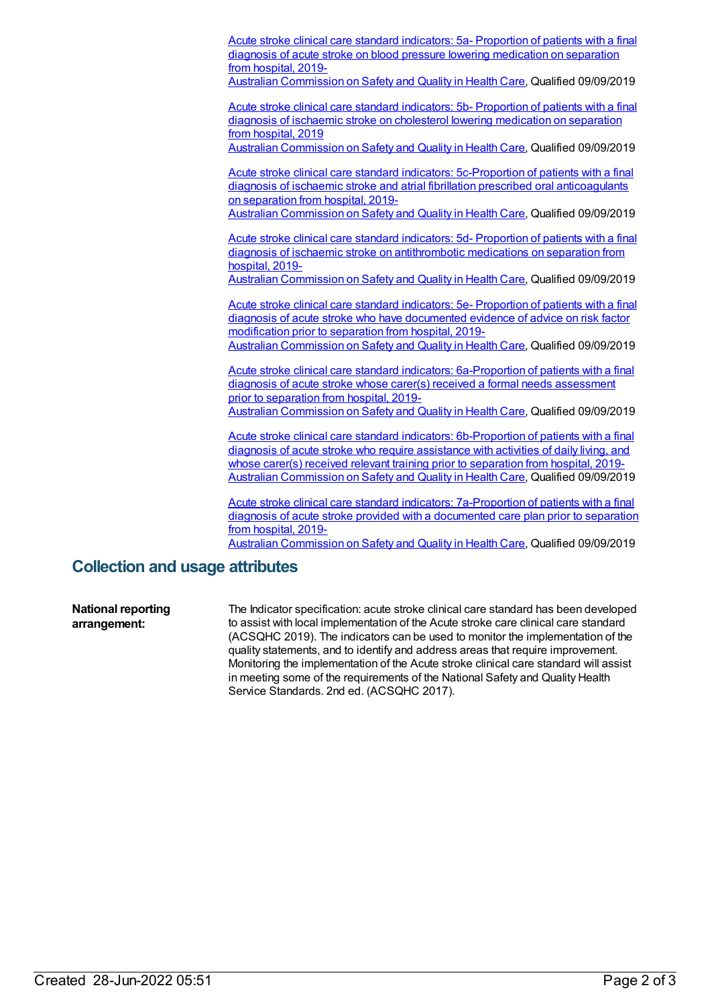Acute stroke clinical care standard indicators: 5a- Proportion of patients with a final diagnosis of acute stroke on blood pressure lowering [medication](https://meteor.aihw.gov.au/content/719060) on separation from hospital, 2019-

Australian [Commission](https://meteor.aihw.gov.au/RegistrationAuthority/18) on Safety and Quality in Health Care, Qualified 09/09/2019

Acute stroke clinical care standard indicators: 5b- Proportion of patients with a final diagnosis of ischaemic stroke on cholesterol lowering [medication](https://meteor.aihw.gov.au/content/719062) on separation from hospital, 2019

Australian [Commission](https://meteor.aihw.gov.au/RegistrationAuthority/18) on Safety and Quality in Health Care, Qualified 09/09/2019

Acute stroke clinical care standard indicators: 5c-Proportion of patients with a final diagnosis of ischaemic stroke and atrial fibrillation prescribed oral [anticoagulants](https://meteor.aihw.gov.au/content/719114) on separation from hospital, 2019-

Australian [Commission](https://meteor.aihw.gov.au/RegistrationAuthority/18) on Safety and Quality in Health Care, Qualified 09/09/2019

Acute stroke clinical care standard indicators: 5d- Proportion of patients with a final diagnosis of ischaemic stroke on [antithrombotic](https://meteor.aihw.gov.au/content/719116) medications on separation from hospital, 2019-

Australian [Commission](https://meteor.aihw.gov.au/RegistrationAuthority/18) on Safety and Quality in Health Care, Qualified 09/09/2019

Acute stroke clinical care standard indicators: 5e- Proportion of patients with a final diagnosis of acute stroke who have [documented](https://meteor.aihw.gov.au/content/719066) evidence of advice on risk factor modification prior to separation from hospital, 2019- Australian [Commission](https://meteor.aihw.gov.au/RegistrationAuthority/18) on Safety and Quality in Health Care, Qualified 09/09/2019

Acute stroke clinical care standard indicators: [6a-Proportion](https://meteor.aihw.gov.au/content/719068) of patients with a final diagnosis of acute stroke whose carer(s) received a formal needs assessment prior to separation from hospital, 2019-

Australian [Commission](https://meteor.aihw.gov.au/RegistrationAuthority/18) on Safety and Quality in Health Care, Qualified 09/09/2019

Acute stroke clinical care standard indicators: [6b-Proportion](https://meteor.aihw.gov.au/content/719070) of patients with a final diagnosis of acute stroke who require assistance with activities of daily living, and whose carer(s) received relevant training prior to separation from hospital, 2019-Australian [Commission](https://meteor.aihw.gov.au/RegistrationAuthority/18) on Safety and Quality in Health Care, Qualified 09/09/2019

Acute stroke clinical care standard indicators: [7a-Proportion](https://meteor.aihw.gov.au/content/719120) of patients with a final diagnosis of acute stroke provided with a documented care plan prior to separation from hospital, 2019-

Australian [Commission](https://meteor.aihw.gov.au/RegistrationAuthority/18) on Safety and Quality in Health Care, Qualified 09/09/2019

## **Collection and usage attributes**

**National reporting arrangement:** The Indicator specification: acute stroke clinical care standard has been developed to assist with local implementation of the Acute stroke care clinical care standard (ACSQHC 2019). The indicators can be used to monitor the implementation of the quality statements, and to identify and address areas that require improvement. Monitoring the implementation of the Acute stroke clinical care standard will assist in meeting some of the requirements of the National Safety and Quality Health Service Standards. 2nd ed. (ACSQHC 2017).